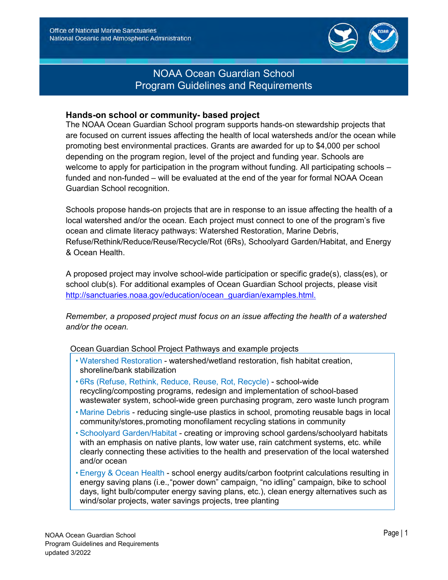

# NOAA Ocean Guardian School Program Guidelines and Requirements

## **Hands-on school or community- based project**

The NOAA Ocean Guardian School program supports hands-on stewardship projects that are focused on current issues affecting the health of local watersheds and/or the ocean while promoting best environmental practices. Grants are awarded for up to \$4,000 per school depending on the program region, level of the project and funding year. Schools are welcome to apply for participation in the program without funding*.* All participating schools – funded and non-funded – will be evaluated at the end of the year for formal NOAA Ocean Guardian School recognition.

Schools propose hands-on projects that are in response to an issue affecting the health of a local watershed and/or the ocean. Each project must connect to one of the program's five ocean and climate literacy pathways: Watershed Restoration, Marine Debris, Refuse/Rethink/Reduce/Reuse/Recycle/Rot (6Rs), Schoolyard Garden/Habitat, and Energy & Ocean Health.

A proposed project may involve school-wide participation or specific grade(s), class(es), or school club(s). For additional examples of Ocean Guardian School projects, please visit [http://sanctuaries.noaa.gov/education/ocean\\_guardian/examples.html.](http://sanctuaries.noaa.gov/education/ocean_guardian/examples.html)

*Remember, a proposed project must focus on an issue affecting the health of a watershed and/or the ocean.* 

Ocean Guardian School Project Pathways and example projects

- Watershed Restoration watershed/wetland restoration, fish habitat creation, shoreline/bank stabilization
- 6Rs (Refuse, Rethink, Reduce, Reuse, Rot, Recycle) school-wide recycling/composting programs, redesign and implementation of school-based wastewater system, school-wide green purchasing program, zero waste lunch program
- Marine Debris reducing single-use plastics in school, promoting reusable bags in local community/stores, promoting monofilament recycling stations in community
- Schoolyard Garden/Habitat creating or improving school gardens/schoolyard habitats with an emphasis on native plants, low water use, rain catchment systems, etc. while clearly connecting these activities to the health and preservation of the local watershed and/or ocean
- Energy & Ocean Health school energy audits/carbon footprint calculations resulting in energy saving plans (i.e.,"power down" campaign, "no idling" campaign, bike to school days, light bulb/computer energy saving plans, etc.), clean energy alternatives such as wind/solar projects, water savings projects, tree planting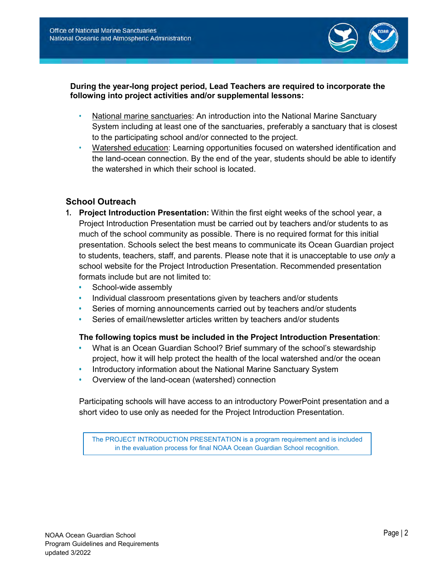

#### **During the year-long project period, Lead Teachers are required to incorporate the following into project activities and/or supplemental lessons:**

- National marine sanctuaries: An introduction into the National Marine Sanctuary System including at least one of the sanctuaries, preferably a sanctuary that is closest to the participating school and/or connected to the project.
- Watershed education: Learning opportunities focused on watershed identification and the land-ocean connection. By the end of the year, students should be able to identify the watershed in which their school is located.

## **School Outreach**

- **1. Project Introduction Presentation:** Within the first eight weeks of the school year, a Project Introduction Presentation must be carried out by teachers and/or students to as much of the school community as possible. There is no required format for this initial presentation. Schools select the best means to communicate its Ocean Guardian project to students, teachers, staff, and parents. Please note that it is unacceptable to use *only* a school website for the Project Introduction Presentation. Recommended presentation formats include but are not limited to:
	- **•** School-wide assembly
	- **•** Individual classroom presentations given by teachers and/or students
	- **•** Series of morning announcements carried out by teachers and/or students
	- **•** Series of email/newsletter articles written by teachers and/or students

#### **The following topics must be included in the Project Introduction Presentation**:

- **•** What is an Ocean Guardian School? Brief summary of the school's stewardship project, how it will help protect the health of the local watershed and/or the ocean
- **•** Introductory information about the National Marine Sanctuary System
- **•** Overview of the land-ocean (watershed) connection

Participating schools will have access to an introductory PowerPoint presentation and a short video to use only as needed for the Project Introduction Presentation.

The PROJECT INTRODUCTION PRESENTATION is a program requirement and is included in the evaluation process for final NOAA Ocean Guardian School recognition.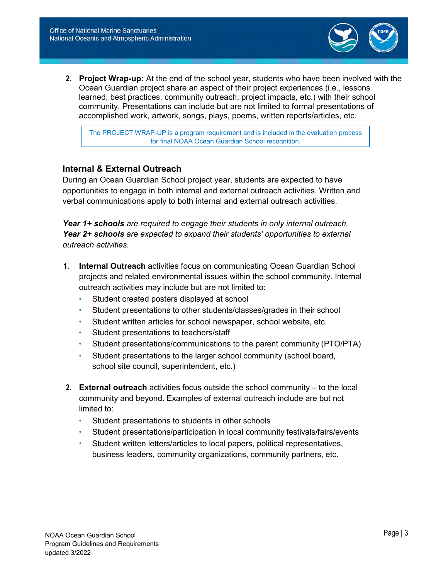

**2. Project Wrap-up:** At the end of the school year, students who have been involved with the Ocean Guardian project share an aspect of their project experiences (i.e., lessons learned, best practices, community outreach, project impacts, etc.) with their school community. Presentations can include but are not limited to formal presentations of accomplished work, artwork, songs, plays, poems, written reports/articles, etc.

The PROJECT WRAP-UP is a program requirement and is included in the evaluation process for final NOAA Ocean Guardian School recognition.

#### **Internal & External Outreach**

During an Ocean Guardian School project year, students are expected to have opportunities to engage in both internal and external outreach activities. Written and verbal communications apply to both internal and external outreach activities.

*Year 1+ schools are required to engage their students in only internal outreach. Year 2+ schools are expected to expand their students' opportunities to external outreach activities.* 

- **1. Internal Outreach** activities focus on communicating Ocean Guardian School projects and related environmental issues within the school community. Internal outreach activities may include but are not limited to:
	- Student created posters displayed at school
	- Student presentations to other students/classes/grades in their school
	- Student written articles for school newspaper, school website, etc.
	- Student presentations to teachers/staff
	- Student presentations/communications to the parent community (PTO/PTA)
	- Student presentations to the larger school community (school board, school site council, superintendent, etc.)
- **2. External outreach** activities focus outside the school community to the local community and beyond. Examples of external outreach include are but not limited to:
	- Student presentations to students in other schools
	- Student presentations/participation in local community festivals/fairs/events
	- Student written letters/articles to local papers, political representatives, business leaders, community organizations, community partners, etc.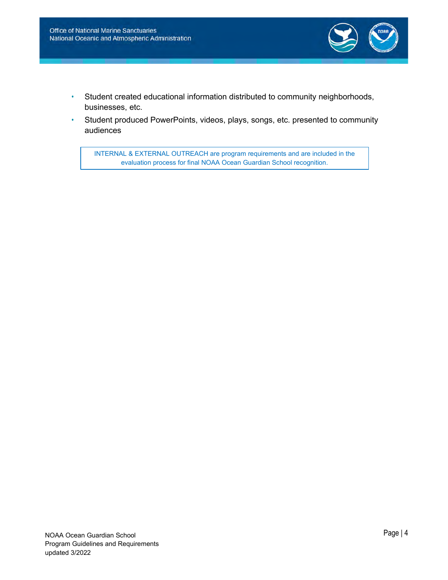

- Student created educational information distributed to community neighborhoods, businesses, etc.
- Student produced PowerPoints, videos, plays, songs, etc. presented to community audiences

INTERNAL & EXTERNAL OUTREACH are program requirements and are included in the evaluation process for final NOAA Ocean Guardian School recognition.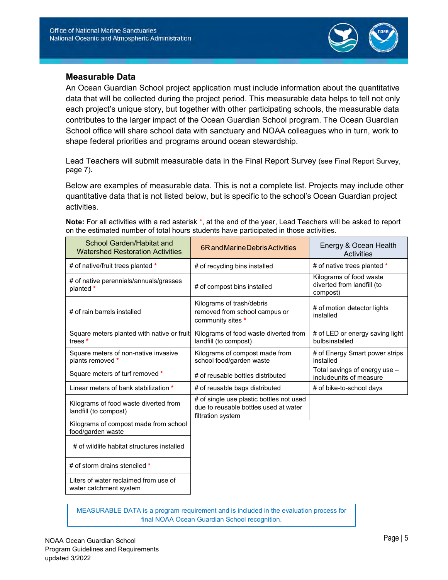

#### **Measurable Data**

An Ocean Guardian School project application must include information about the quantitative data that will be collected during the project period. This measurable data helps to tell not only each project's unique story, but together with other participating schools, the measurable data contributes to the larger impact of the Ocean Guardian School program. The Ocean Guardian School office will share school data with sanctuary and NOAA colleagues who in turn, work to shape federal priorities and programs around ocean stewardship.

Lead Teachers will submit measurable data in the Final Report Survey (see Final Report Survey, page 7).

Below are examples of measurable data. This is not a complete list. Projects may include other quantitative data that is not listed below, but is specific to the school's Ocean Guardian project activities.

**Note:** For all activities with a red asterisk \*, at the end of the year, Lead Teachers will be asked to report on the estimated number of total hours students have participated in those activities.

| School Garden/Habitat and<br><b>Watershed Restoration Activities</b> | 6R and Marine Debris Activities                                                                        | Energy & Ocean Health<br>Activities                               |
|----------------------------------------------------------------------|--------------------------------------------------------------------------------------------------------|-------------------------------------------------------------------|
| # of native/fruit trees planted *                                    | # of recycling bins installed                                                                          | # of native trees planted *                                       |
| # of native perennials/annuals/grasses<br>planted *                  | # of compost bins installed                                                                            | Kilograms of food waste<br>diverted from landfill (to<br>compost) |
| # of rain barrels installed                                          | Kilograms of trash/debris<br>removed from school campus or<br>community sites *                        | # of motion detector lights<br>installed                          |
| Square meters planted with native or fruit<br>trees *                | Kilograms of food waste diverted from<br>landfill (to compost)                                         | # of LED or energy saving light<br>bulbsinstalled                 |
| Square meters of non-native invasive<br>plants removed *             | Kilograms of compost made from<br>school food/garden waste                                             | # of Energy Smart power strips<br>installed                       |
| Square meters of turf removed *                                      | # of reusable bottles distributed                                                                      | Total savings of energy use -<br>includeunits of measure          |
| Linear meters of bank stabilization *                                | # of reusable bags distributed                                                                         | # of bike-to-school days                                          |
| Kilograms of food waste diverted from<br>landfill (to compost)       | # of single use plastic bottles not used<br>due to reusable bottles used at water<br>filtration system |                                                                   |
| Kilograms of compost made from school<br>food/garden waste           |                                                                                                        |                                                                   |
| # of wildlife habitat structures installed                           |                                                                                                        |                                                                   |
| # of storm drains stenciled *                                        |                                                                                                        |                                                                   |
| Liters of water reclaimed from use of<br>water catchment system      |                                                                                                        |                                                                   |

MEASURABLE DATA is a program requirement and is included in the evaluation process for final NOAA Ocean Guardian School recognition.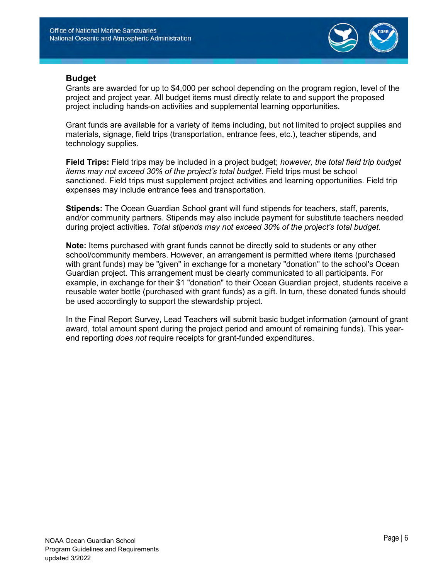

#### **Budget**

Grants are awarded for up to \$4,000 per school depending on the program region, level of the project and project year. All budget items must directly relate to and support the proposed project including hands-on activities and supplemental learning opportunities.

Grant funds are available for a variety of items including, but not limited to project supplies and materials, signage, field trips (transportation, entrance fees, etc.), teacher stipends, and technology supplies.

**Field Trips:** Field trips may be included in a project budget; *however, the total field trip budget items may not exceed 30% of the project's total budget.* Field trips must be school sanctioned. Field trips must supplement project activities and learning opportunities. Field trip expenses may include entrance fees and transportation.

**Stipends:** The Ocean Guardian School grant will fund stipends for teachers, staff, parents, and/or community partners. Stipends may also include payment for substitute teachers needed during project activities. *Total stipends may not exceed 30% of the project's total budget.* 

**Note:** Items purchased with grant funds cannot be directly sold to students or any other school/community members. However, an arrangement is permitted where items (purchased with grant funds) may be "given" in exchange for a monetary "donation" to the school's Ocean Guardian project. This arrangement must be clearly communicated to all participants. For example, in exchange for their \$1 "donation" to their Ocean Guardian project, students receive a reusable water bottle (purchased with grant funds) as a gift. In turn, these donated funds should be used accordingly to support the stewardship project.

In the Final Report Survey, Lead Teachers will submit basic budget information (amount of grant award, total amount spent during the project period and amount of remaining funds). This yearend reporting *does not* require receipts for grant-funded expenditures.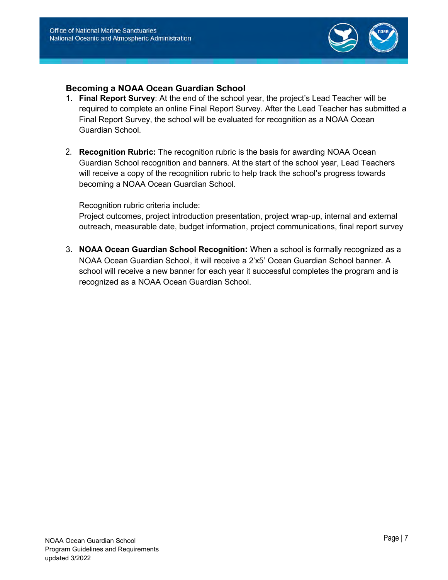

## **Becoming a NOAA Ocean Guardian School**

- 1. **Final Report Survey**: At the end of the school year, the project's Lead Teacher will be required to complete an online Final Report Survey. After the Lead Teacher has submitted a Final Report Survey, the school will be evaluated for recognition as a NOAA Ocean Guardian School.
- 2. **Recognition Rubric:** The recognition rubric is the basis for awarding NOAA Ocean Guardian School recognition and banners. At the start of the school year, Lead Teachers will receive a copy of the recognition rubric to help track the school's progress towards becoming a NOAA Ocean Guardian School.

#### Recognition rubric criteria include:

Project outcomes, project introduction presentation, project wrap-up, internal and external outreach, measurable date, budget information, project communications, final report survey

3. **NOAA Ocean Guardian School Recognition:** When a school is formally recognized as a NOAA Ocean Guardian School, it will receive a 2'x5' Ocean Guardian School banner. A school will receive a new banner for each year it successful completes the program and is recognized as a NOAA Ocean Guardian School.